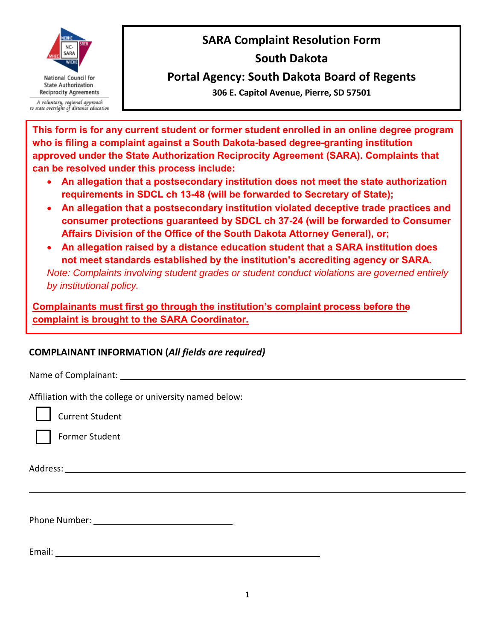

A voluntary, regional approach to state oversight of distance education

# **SARA Complaint Resolution Form**

## **South Dakota**

**Portal Agency: South Dakota Board of Regents**

**306 E. Capitol Avenue, Pierre, SD 57501**

**This form is for any current student or former student enrolled in an online degree program who is filing a complaint against a South Dakota-based degree-granting institution approved under the State Authorization Reciprocity Agreement (SARA). Complaints that can be resolved under this process include:**

- **An allegation that a postsecondary institution does not meet the state authorization requirements in SDCL ch 13-48 (will be forwarded to Secretary of State);**
- **An allegation that a postsecondary institution violated deceptive trade practices and consumer protections guaranteed by SDCL ch 37-24 (will be forwarded to Consumer Affairs Division of the Office of the South Dakota Attorney General), or;**
- **An allegation raised by a distance education student that a SARA institution does not meet standards established by the institution's accrediting agency or SARA.**

*Note: Complaints involving student grades or student conduct violations are governed entirely by institutional policy.*

**Complainants must first go through the institution's complaint process before the complaint is brought to the SARA Coordinator.**

### **COMPLAINANT INFORMATION (***All fields are required)*

Name of Complainant:

Affiliation with the college or university named below:

Current Student

Former Student

Address:

l

Phone Number:

Email: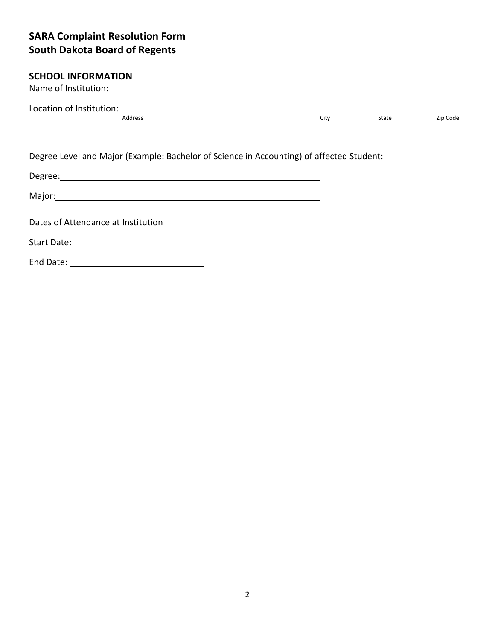#### **SCHOOL INFORMATION**

|                                    | Address                                                                                  | City | State | Zip Code |
|------------------------------------|------------------------------------------------------------------------------------------|------|-------|----------|
|                                    | Degree Level and Major (Example: Bachelor of Science in Accounting) of affected Student: |      |       |          |
|                                    |                                                                                          |      |       |          |
|                                    |                                                                                          |      |       |          |
| Dates of Attendance at Institution |                                                                                          |      |       |          |
|                                    |                                                                                          |      |       |          |
|                                    |                                                                                          |      |       |          |
|                                    |                                                                                          |      |       |          |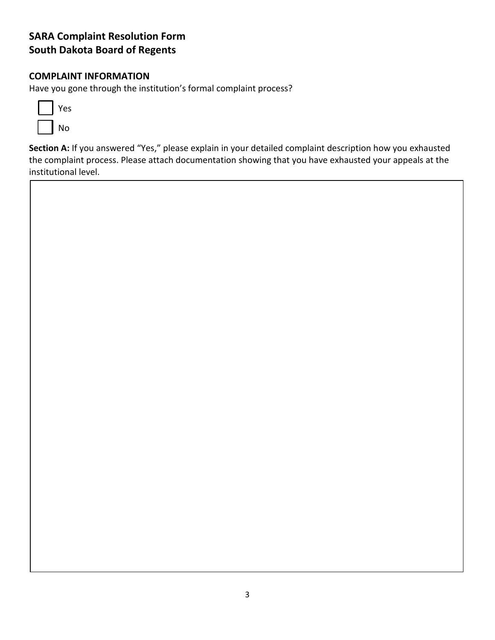#### **COMPLAINT INFORMATION**

Have you gone through the institution's formal complaint process?



**Section A:** If you answered "Yes," please explain in your detailed complaint description how you exhausted the complaint process. Please attach documentation showing that you have exhausted your appeals at the institutional level.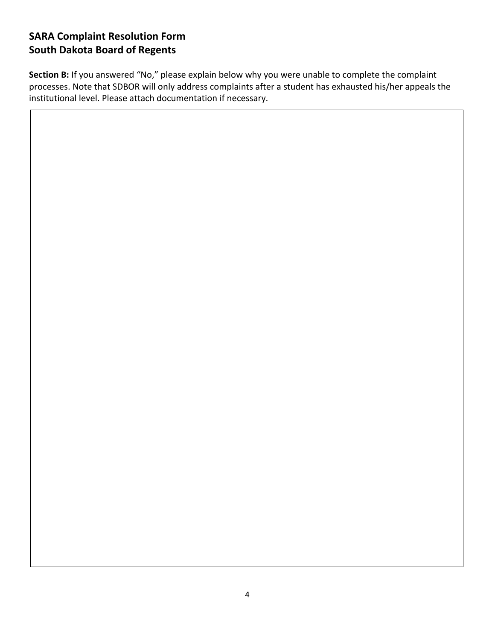**Section B:** If you answered "No," please explain below why you were unable to complete the complaint processes. Note that SDBOR will only address complaints after a student has exhausted his/her appeals the institutional level. Please attach documentation if necessary.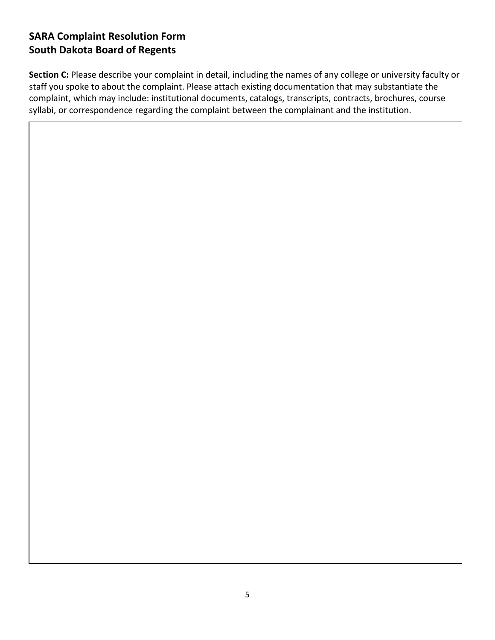**Section C:** Please describe your complaint in detail, including the names of any college or university faculty or staff you spoke to about the complaint. Please attach existing documentation that may substantiate the complaint, which may include: institutional documents, catalogs, transcripts, contracts, brochures, course syllabi, or correspondence regarding the complaint between the complainant and the institution.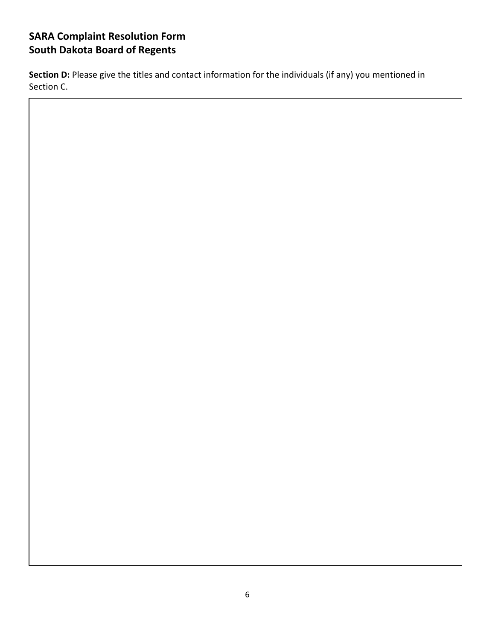Section D: Please give the titles and contact information for the individuals (if any) you mentioned in Section C.